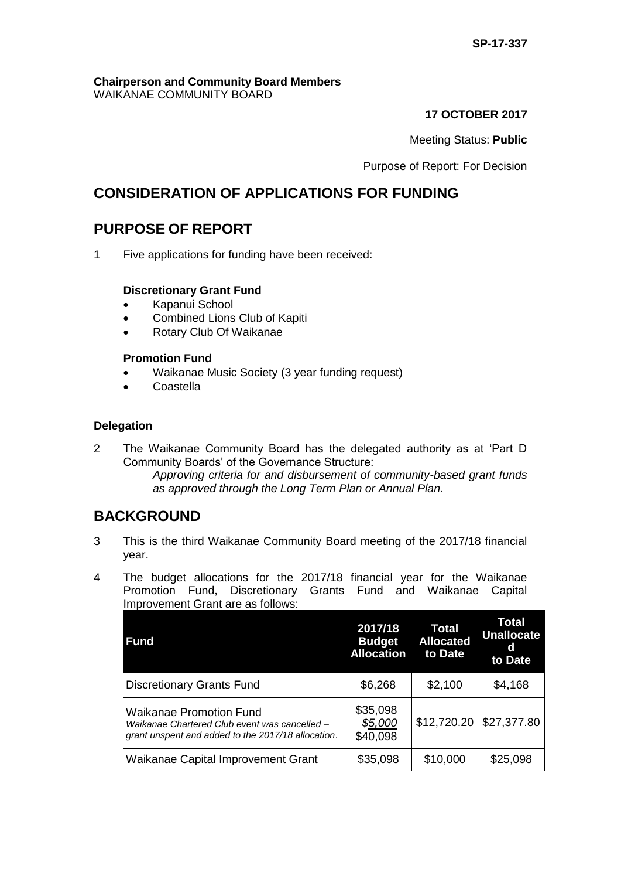#### **Chairperson and Community Board Members** WAIKANAE COMMUNITY BOARD

## **17 OCTOBER 2017**

## Meeting Status: **Public**

Purpose of Report: For Decision

# **CONSIDERATION OF APPLICATIONS FOR FUNDING**

# **PURPOSE OF REPORT**

1 Five applications for funding have been received:

## **Discretionary Grant Fund**

- Kapanui School
- Combined Lions Club of Kapiti
- Rotary Club Of Waikanae

## **Promotion Fund**

- Waikanae Music Society (3 year funding request)
- Coastella

#### **Delegation**

2 The Waikanae Community Board has the delegated authority as at 'Part D Community Boards' of the Governance Structure: *Approving criteria for and disbursement of community-based grant funds as approved through the Long Term Plan or Annual Plan.* 

## **BACKGROUND**

- 3 This is the third Waikanae Community Board meeting of the 2017/18 financial year.
- 4 The budget allocations for the 2017/18 financial year for the Waikanae Promotion Fund, Discretionary Grants Fund and Waikanae Capital Improvement Grant are as follows:

| <b>Fund</b>                                                                                                                           | 2017/18<br><b>Budget</b><br><b>Allocation</b> | Total<br><b>Allocated</b><br>to Date | Total<br><b>Unallocate</b><br>d<br>to Date |
|---------------------------------------------------------------------------------------------------------------------------------------|-----------------------------------------------|--------------------------------------|--------------------------------------------|
| <b>Discretionary Grants Fund</b>                                                                                                      | \$6,268                                       | \$2,100                              | \$4,168                                    |
| <b>Waikanae Promotion Fund</b><br>Waikanae Chartered Club event was cancelled -<br>grant unspent and added to the 2017/18 allocation. | \$35,098<br>\$5,000<br>\$40,098               | \$12,720.20                          | \$27,377.80                                |
| Waikanae Capital Improvement Grant                                                                                                    | \$35,098                                      | \$10,000                             | \$25,098                                   |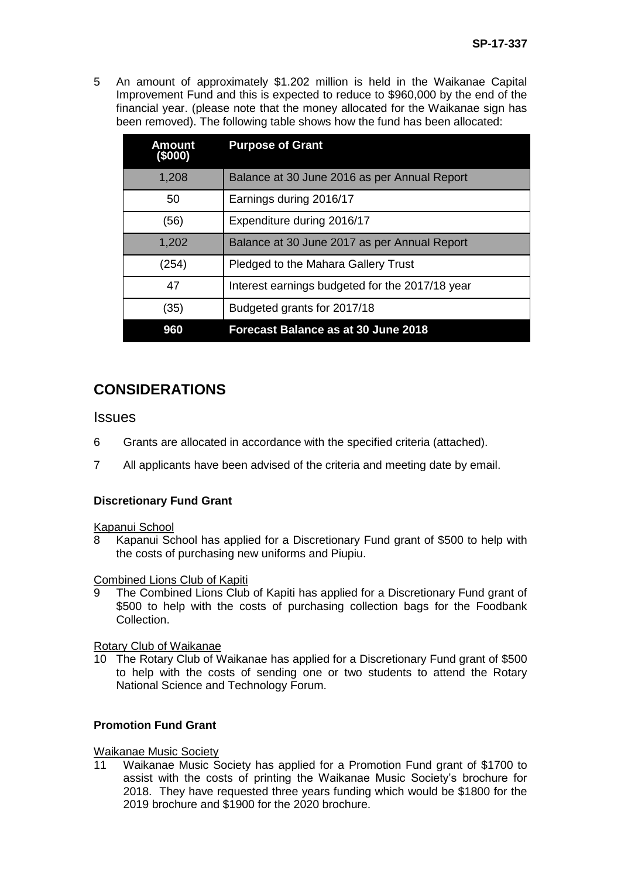5 An amount of approximately \$1.202 million is held in the Waikanae Capital Improvement Fund and this is expected to reduce to \$960,000 by the end of the financial year. (please note that the money allocated for the Waikanae sign has been removed). The following table shows how the fund has been allocated:

| <b>Amount</b><br>(\$000) | <b>Purpose of Grant</b>                         |
|--------------------------|-------------------------------------------------|
| 1,208                    | Balance at 30 June 2016 as per Annual Report    |
| 50                       | Earnings during 2016/17                         |
| (56)                     | Expenditure during 2016/17                      |
| 1,202                    | Balance at 30 June 2017 as per Annual Report    |
| (254)                    | Pledged to the Mahara Gallery Trust             |
| 47                       | Interest earnings budgeted for the 2017/18 year |
| (35)                     | Budgeted grants for 2017/18                     |
| 960                      | Forecast Balance as at 30 June 2018             |

# **CONSIDERATIONS**

**Issues** 

- 6 Grants are allocated in accordance with the specified criteria (attached).
- 7 All applicants have been advised of the criteria and meeting date by email.

## **Discretionary Fund Grant**

Kapanui School

Kapanui School has applied for a Discretionary Fund grant of \$500 to help with the costs of purchasing new uniforms and Piupiu.

Combined Lions Club of Kapiti

9 The Combined Lions Club of Kapiti has applied for a Discretionary Fund grant of \$500 to help with the costs of purchasing collection bags for the Foodbank Collection.

Rotary Club of Waikanae

10 The Rotary Club of Waikanae has applied for a Discretionary Fund grant of \$500 to help with the costs of sending one or two students to attend the Rotary National Science and Technology Forum.

## **Promotion Fund Grant**

#### Waikanae Music Society

11 Waikanae Music Society has applied for a Promotion Fund grant of \$1700 to assist with the costs of printing the Waikanae Music Society's brochure for 2018. They have requested three years funding which would be \$1800 for the 2019 brochure and \$1900 for the 2020 brochure.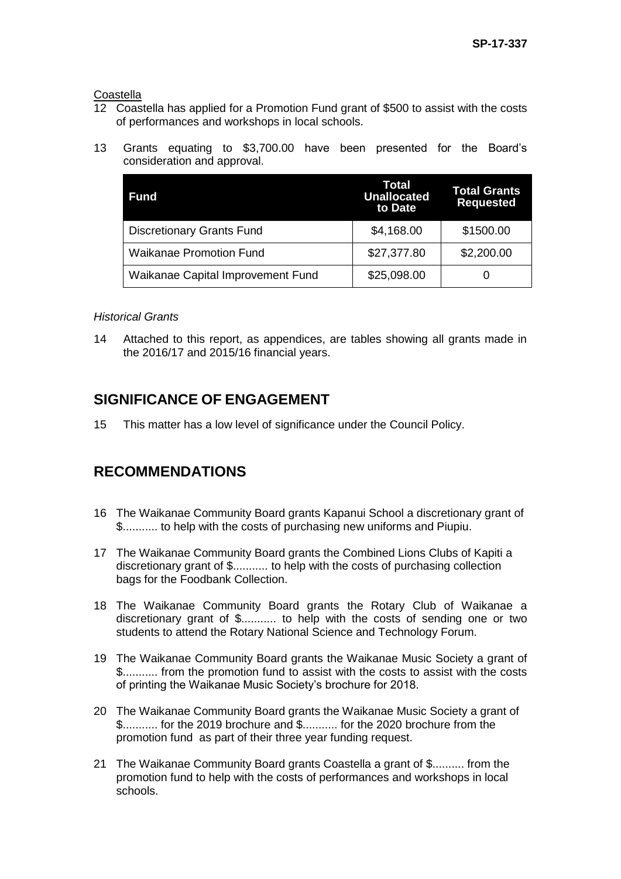**Coastella** 

- 12 Coastella has applied for a Promotion Fund grant of \$500 to assist with the costs of performances and workshops in local schools.
- 13 Grants equating to \$3,700.00 have been presented for the Board's consideration and approval.

| <b>Fund</b>                       | Total<br><b>Unallocated</b><br>to Date | <b>Total Grants</b><br><b>Requested</b> |
|-----------------------------------|----------------------------------------|-----------------------------------------|
| <b>Discretionary Grants Fund</b>  | \$4,168.00                             | \$1500.00                               |
| <b>Waikanae Promotion Fund</b>    | \$27,377.80                            | \$2,200.00                              |
| Waikanae Capital Improvement Fund | \$25,098.00                            |                                         |

#### *Historical Grants*

14 Attached to this report, as appendices, are tables showing all grants made in the 2016/17 and 2015/16 financial years.

# **SIGNIFICANCE OF ENGAGEMENT**

15 This matter has a low level of significance under the Council Policy.

# **RECOMMENDATIONS**

- 16 The Waikanae Community Board grants Kapanui School a discretionary grant of \$........... to help with the costs of purchasing new uniforms and Piupiu.
- 17 The Waikanae Community Board grants the Combined Lions Clubs of Kapiti a discretionary grant of \$........... to help with the costs of purchasing collection bags for the Foodbank Collection.
- 18 The Waikanae Community Board grants the Rotary Club of Waikanae a discretionary grant of \$........... to help with the costs of sending one or two students to attend the Rotary National Science and Technology Forum.
- 19 The Waikanae Community Board grants the Waikanae Music Society a grant of \$........... from the promotion fund to assist with the costs to assist with the costs of printing the Waikanae Music Society's brochure for 2018.
- 20 The Waikanae Community Board grants the Waikanae Music Society a grant of \$........... for the 2019 brochure and \$........... for the 2020 brochure from the promotion fund as part of their three year funding request.
- 21 The Waikanae Community Board grants Coastella a grant of \$.......... from the promotion fund to help with the costs of performances and workshops in local schools.